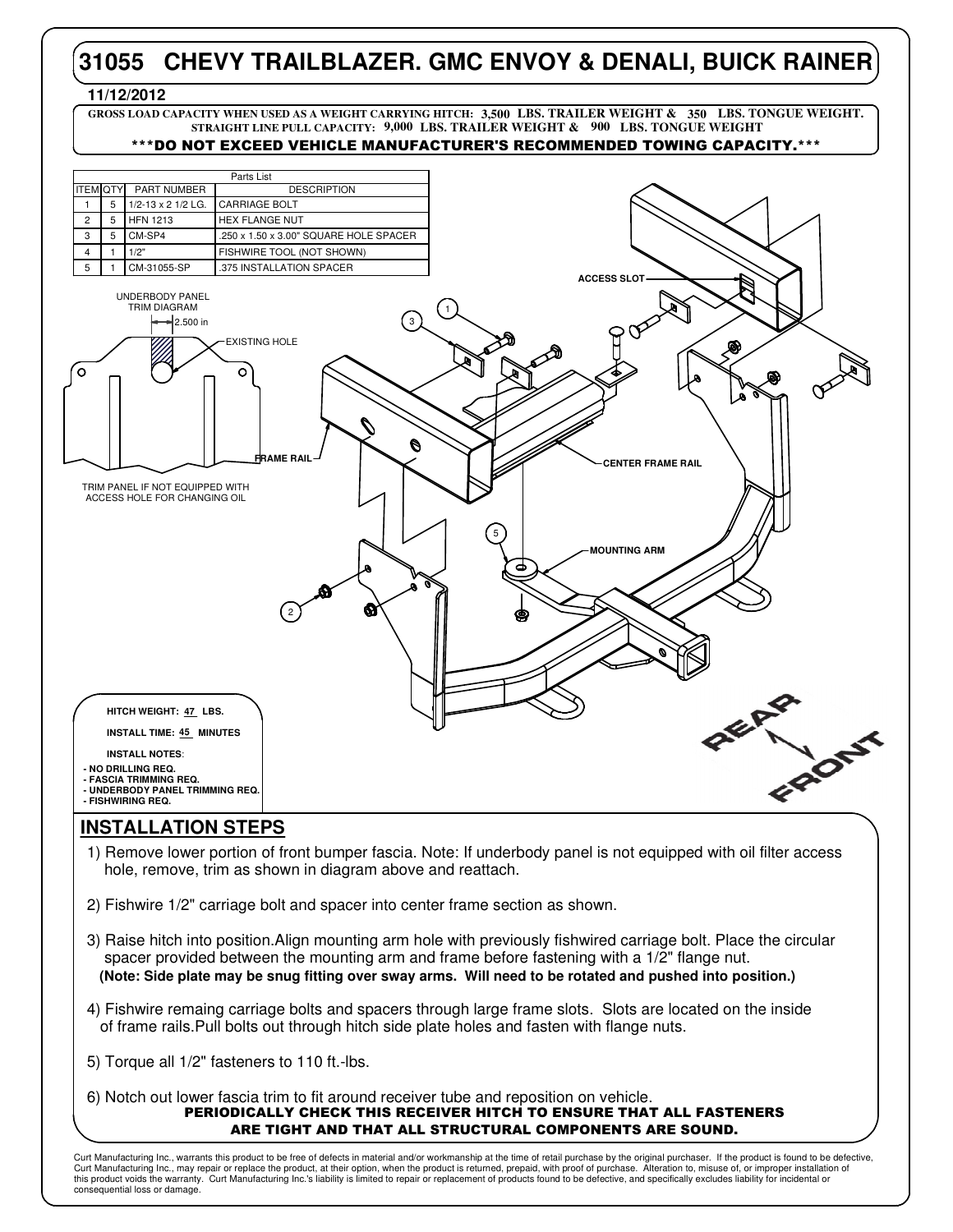# **31055 CHEVY TRAILBLAZER. GMC ENVOY & DENALI, BUICK RAINER**

#### **11/12/2012**

**GROSS LOAD CAPACITY WHEN USED AS A WEIGHT CARRYING HITCH: LBS. TRAILER WEIGHT & LBS. TONGUE WEIGHT. 3,500 350 STRAIGHT LINE PULL CAPACITY: 9,000 LBS. TRAILER WEIGHT & 900 LBS. TONGUE WEIGHT** 



### **INSTALLATION STEPS**

- 1) Remove lower portion of front bumper fascia. Note: If underbody panel is not equipped with oil filter access hole, remove, trim as shown in diagram above and reattach.
- 2) Fishwire 1/2" carriage bolt and spacer into center frame section as shown.
- 3) Raise hitch into position.Align mounting arm hole with previously fishwired carriage bolt. Place the circular spacer provided between the mounting arm and frame before fastening with a 1/2" flange nut. **(Note: Side plate may be snug fitting over sway arms. Will need to be rotated and pushed into position.)**
- 4) Fishwire remaing carriage bolts and spacers through large frame slots. Slots are located on the inside of frame rails.Pull bolts out through hitch side plate holes and fasten with flange nuts.
- 5) Torque all 1/2" fasteners to 110 ft.-lbs.
- PERIODICALLY CHECK THIS RECEIVER HITCH TO ENSURE THAT ALL FASTENERS ARE TIGHT AND THAT ALL STRUCTURAL COMPONENTS ARE SOUND. 6) Notch out lower fascia trim to fit around receiver tube and reposition on vehicle.

Curt Manufacturing Inc., warrants this product to be free of defects in material and/or workmanship at the time of retail purchase by the original purchaser. If the product is found to be defective, Curt Manufacturing Inc., may repair or replace the product, at their option, when the product is returned, prepaid, with proof of purchase. Alteration to, misuse of, or improper installation of<br>this product voids the warra consequential loss or damage.